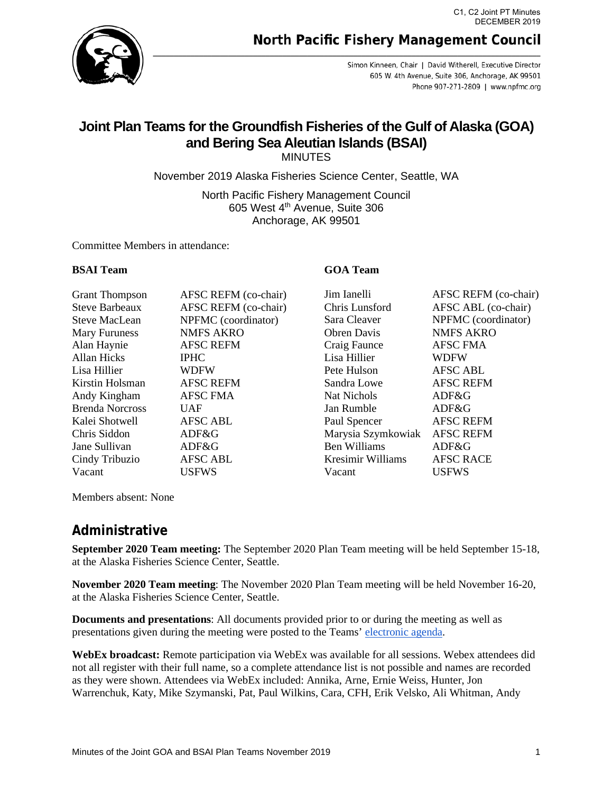

## **North Pacific Fishery Management Council**

Simon Kinneen, Chair | David Witherell, Executive Director 605 W. 4th Avenue, Suite 306, Anchorage, AK 99501 Phone 907-271-2809 | www.npfmc.org

# **Joint Plan Teams for the Groundfish Fisheries of the Gulf of Alaska (GOA) and Bering Sea Aleutian Islands (BSAI)**

MINUTES

November 2019 Alaska Fisheries Science Center, Seattle, WA

North Pacific Fishery Management Council 605 West 4<sup>th</sup> Avenue, Suite 306 Anchorage, AK 99501

Committee Members in attendance:

#### **BSAI Team**

#### Grant Thompson AFSC REFM (co-chair) Steve Barbeaux AFSC REFM (co-chair) Steve MacLean NPFMC (coordinator) Mary Furuness NMFS AKRO Alan Haynie AFSC REFM Allan Hicks IPHC Lisa Hillier WDFW Kirstin Holsman AFSC REFM Andy Kingham AFSC FMA Brenda Norcross UAF Kalei Shotwell AFSC ABL

#### **GOA Team**

| Jim Ianelli        | AFSC REFM (co-chair) |
|--------------------|----------------------|
| Chris Lunsford     | AFSC ABL (co-chair)  |
| Sara Cleaver       | NPFMC (coordinator)  |
| Obren Davis        | <b>NMFS AKRO</b>     |
| Craig Faunce       | <b>AFSC FMA</b>      |
| Lisa Hillier       | <b>WDFW</b>          |
| Pete Hulson        | <b>AFSC ABL</b>      |
| Sandra Lowe        | <b>AFSC REFM</b>     |
| Nat Nichols        | ADF&G                |
| Jan Rumble         | ADF&G                |
| Paul Spencer       | <b>AFSC REFM</b>     |
| Marysia Szymkowiak | <b>AFSC REFM</b>     |
| Ben Williams       | ADF&G                |
| Kresimir Williams  | <b>AFSC RACE</b>     |
| Vacant             | USFWS                |

Members absent: None

Chris Siddon ADF&G Jane Sullivan ADF&G Cindy Tribuzio AFSC ABL Vacant USFWS

### **Administrative**

**September 2020 Team meeting:** The September 2020 Plan Team meeting will be held September 15-18, at the Alaska Fisheries Science Center, Seattle.

**November 2020 Team meeting**: The November 2020 Plan Team meeting will be held November 16-20, at the Alaska Fisheries Science Center, Seattle.

**Documents and presentations**: All documents provided prior to or during the meeting as well as presentations given during the meeting were posted to the Teams[' electronic agenda.](https://meetings.npfmc.org/Meeting/Details/1044)

**WebEx broadcast:** Remote participation via WebEx was available for all sessions. Webex attendees did not all register with their full name, so a complete attendance list is not possible and names are recorded as they were shown. Attendees via WebEx included: Annika, Arne, Ernie Weiss, Hunter, Jon Warrenchuk, Katy, Mike Szymanski, Pat, Paul Wilkins, Cara, CFH, Erik Velsko, Ali Whitman, Andy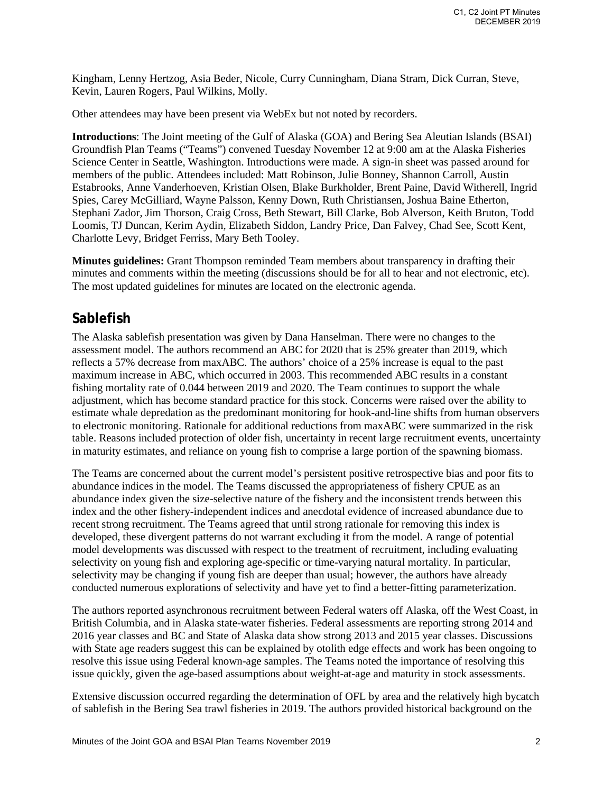Kingham, Lenny Hertzog, Asia Beder, Nicole, Curry Cunningham, Diana Stram, Dick Curran, Steve, Kevin, Lauren Rogers, Paul Wilkins, Molly.

Other attendees may have been present via WebEx but not noted by recorders.

**Introductions**: The Joint meeting of the Gulf of Alaska (GOA) and Bering Sea Aleutian Islands (BSAI) Groundfish Plan Teams ("Teams") convened Tuesday November 12 at 9:00 am at the Alaska Fisheries Science Center in Seattle, Washington. Introductions were made. A sign-in sheet was passed around for members of the public. Attendees included: Matt Robinson, Julie Bonney, Shannon Carroll, Austin Estabrooks, Anne Vanderhoeven, Kristian Olsen, Blake Burkholder, Brent Paine, David Witherell, Ingrid Spies, Carey McGilliard, Wayne Palsson, Kenny Down, Ruth Christiansen, Joshua Baine Etherton, Stephani Zador, Jim Thorson, Craig Cross, Beth Stewart, Bill Clarke, Bob Alverson, Keith Bruton, Todd Loomis, TJ Duncan, Kerim Aydin, Elizabeth Siddon, Landry Price, Dan Falvey, Chad See, Scott Kent, Charlotte Levy, Bridget Ferriss, Mary Beth Tooley.

**Minutes guidelines:** Grant Thompson reminded Team members about transparency in drafting their minutes and comments within the meeting (discussions should be for all to hear and not electronic, etc). The most updated guidelines for minutes are located on the electronic agenda.

### **Sablefish**

The Alaska sablefish presentation was given by Dana Hanselman. There were no changes to the assessment model. The authors recommend an ABC for 2020 that is 25% greater than 2019, which reflects a 57% decrease from maxABC. The authors' choice of a 25% increase is equal to the past maximum increase in ABC, which occurred in 2003. This recommended ABC results in a constant fishing mortality rate of 0.044 between 2019 and 2020. The Team continues to support the whale adjustment, which has become standard practice for this stock. Concerns were raised over the ability to estimate whale depredation as the predominant monitoring for hook-and-line shifts from human observers to electronic monitoring. Rationale for additional reductions from maxABC were summarized in the risk table. Reasons included protection of older fish, uncertainty in recent large recruitment events, uncertainty in maturity estimates, and reliance on young fish to comprise a large portion of the spawning biomass.

The Teams are concerned about the current model's persistent positive retrospective bias and poor fits to abundance indices in the model. The Teams discussed the appropriateness of fishery CPUE as an abundance index given the size-selective nature of the fishery and the inconsistent trends between this index and the other fishery-independent indices and anecdotal evidence of increased abundance due to recent strong recruitment. The Teams agreed that until strong rationale for removing this index is developed, these divergent patterns do not warrant excluding it from the model. A range of potential model developments was discussed with respect to the treatment of recruitment, including evaluating selectivity on young fish and exploring age-specific or time-varying natural mortality. In particular, selectivity may be changing if young fish are deeper than usual; however, the authors have already conducted numerous explorations of selectivity and have yet to find a better-fitting parameterization.

The authors reported asynchronous recruitment between Federal waters off Alaska, off the West Coast, in British Columbia, and in Alaska state-water fisheries. Federal assessments are reporting strong 2014 and 2016 year classes and BC and State of Alaska data show strong 2013 and 2015 year classes. Discussions with State age readers suggest this can be explained by otolith edge effects and work has been ongoing to resolve this issue using Federal known-age samples. The Teams noted the importance of resolving this issue quickly, given the age-based assumptions about weight-at-age and maturity in stock assessments.

Extensive discussion occurred regarding the determination of OFL by area and the relatively high bycatch of sablefish in the Bering Sea trawl fisheries in 2019. The authors provided historical background on the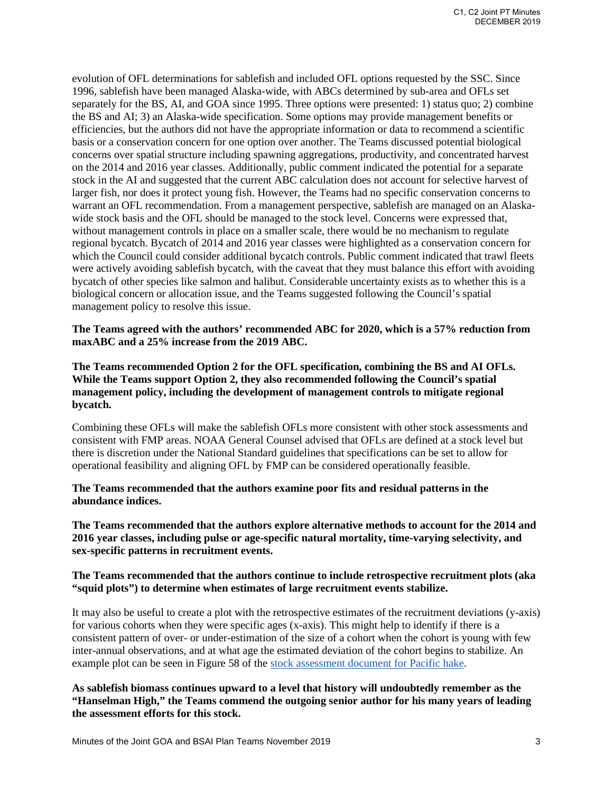evolution of OFL determinations for sablefish and included OFL options requested by the SSC. Since 1996, sablefish have been managed Alaska-wide, with ABCs determined by sub-area and OFLs set separately for the BS, AI, and GOA since 1995. Three options were presented: 1) status quo; 2) combine the BS and AI; 3) an Alaska-wide specification. Some options may provide management benefits or efficiencies, but the authors did not have the appropriate information or data to recommend a scientific basis or a conservation concern for one option over another. The Teams discussed potential biological concerns over spatial structure including spawning aggregations, productivity, and concentrated harvest on the 2014 and 2016 year classes. Additionally, public comment indicated the potential for a separate stock in the AI and suggested that the current ABC calculation does not account for selective harvest of larger fish, nor does it protect young fish. However, the Teams had no specific conservation concerns to warrant an OFL recommendation. From a management perspective, sablefish are managed on an Alaskawide stock basis and the OFL should be managed to the stock level. Concerns were expressed that, without management controls in place on a smaller scale, there would be no mechanism to regulate regional bycatch. Bycatch of 2014 and 2016 year classes were highlighted as a conservation concern for which the Council could consider additional bycatch controls. Public comment indicated that trawl fleets were actively avoiding sablefish bycatch, with the caveat that they must balance this effort with avoiding bycatch of other species like salmon and halibut. Considerable uncertainty exists as to whether this is a biological concern or allocation issue, and the Teams suggested following the Council's spatial management policy to resolve this issue.

**The Teams agreed with the authors' recommended ABC for 2020, which is a 57% reduction from maxABC and a 25% increase from the 2019 ABC.**

#### **The Teams recommended Option 2 for the OFL specification, combining the BS and AI OFLs. While the Teams support Option 2, they also recommended following the Council's spatial management policy, including the development of management controls to mitigate regional bycatch.**

Combining these OFLs will make the sablefish OFLs more consistent with other stock assessments and consistent with FMP areas. NOAA General Counsel advised that OFLs are defined at a stock level but there is discretion under the National Standard guidelines that specifications can be set to allow for operational feasibility and aligning OFL by FMP can be considered operationally feasible.

#### **The Teams recommended that the authors examine poor fits and residual patterns in the abundance indices.**

**The Teams recommended that the authors explore alternative methods to account for the 2014 and 2016 year classes, including pulse or age-specific natural mortality, time-varying selectivity, and sex-specific patterns in recruitment events.**

#### **The Teams recommended that the authors continue to include retrospective recruitment plots (aka "squid plots") to determine when estimates of large recruitment events stabilize.**

It may also be useful to create a plot with the retrospective estimates of the recruitment deviations (y-axis) for various cohorts when they were specific ages (x-axis). This might help to identify if there is a consistent pattern of over- or under-estimation of the size of a cohort when the cohort is young with few inter-annual observations, and at what age the estimated deviation of the cohort begins to stabilize. An example plot can be seen in Figure 58 of the [stock assessment document for Pacific hake.](https://archive.fisheries.noaa.gov/wcr/publications/fishery_management/groundfish/whiting/hake-assessment-2018.pdf)

**As sablefish biomass continues upward to a level that history will undoubtedly remember as the "Hanselman High," the Teams commend the outgoing senior author for his many years of leading the assessment efforts for this stock.**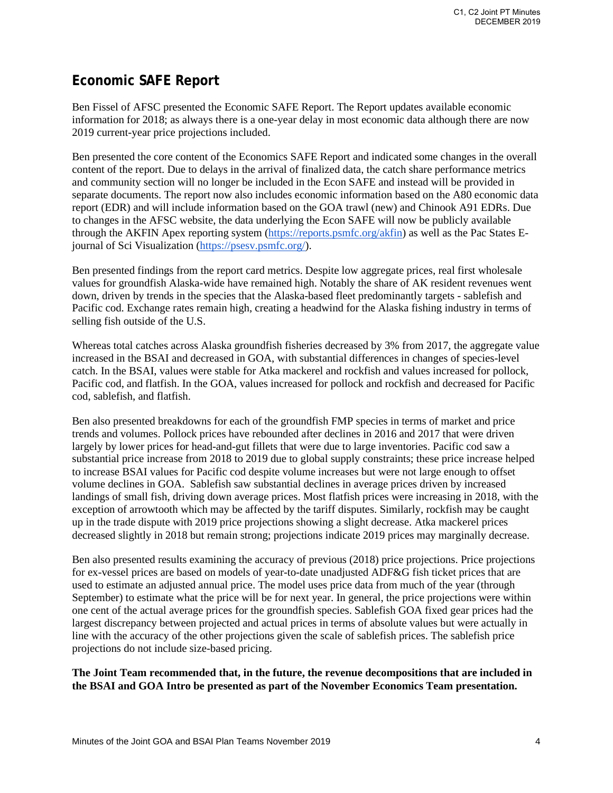## **Economic SAFE Report**

Ben Fissel of AFSC presented the Economic SAFE Report. The Report updates available economic information for 2018; as always there is a one-year delay in most economic data although there are now 2019 current-year price projections included.

Ben presented the core content of the Economics SAFE Report and indicated some changes in the overall content of the report. Due to delays in the arrival of finalized data, the catch share performance metrics and community section will no longer be included in the Econ SAFE and instead will be provided in separate documents. The report now also includes economic information based on the A80 economic data report (EDR) and will include information based on the GOA trawl (new) and Chinook A91 EDRs. Due to changes in the AFSC website, the data underlying the Econ SAFE will now be publicly available through the AKFIN Apex reporting system [\(https://reports.psmfc.org/akfin\)](https://reports.psmfc.org/akfin) as well as the Pac States E-journal of Sci Visualization [\(https://psesv.psmfc.org/\)](https://psesv.psmfc.org/).

Ben presented findings from the report card metrics. Despite low aggregate prices, real first wholesale values for groundfish Alaska-wide have remained high. Notably the share of AK resident revenues went down, driven by trends in the species that the Alaska-based fleet predominantly targets - sablefish and Pacific cod. Exchange rates remain high, creating a headwind for the Alaska fishing industry in terms of selling fish outside of the U.S.

Whereas total catches across Alaska groundfish fisheries decreased by 3% from 2017, the aggregate value increased in the BSAI and decreased in GOA, with substantial differences in changes of species-level catch. In the BSAI, values were stable for Atka mackerel and rockfish and values increased for pollock, Pacific cod, and flatfish. In the GOA, values increased for pollock and rockfish and decreased for Pacific cod, sablefish, and flatfish.

Ben also presented breakdowns for each of the groundfish FMP species in terms of market and price trends and volumes. Pollock prices have rebounded after declines in 2016 and 2017 that were driven largely by lower prices for head-and-gut fillets that were due to large inventories. Pacific cod saw a substantial price increase from 2018 to 2019 due to global supply constraints; these price increase helped to increase BSAI values for Pacific cod despite volume increases but were not large enough to offset volume declines in GOA. Sablefish saw substantial declines in average prices driven by increased landings of small fish, driving down average prices. Most flatfish prices were increasing in 2018, with the exception of arrowtooth which may be affected by the tariff disputes. Similarly, rockfish may be caught up in the trade dispute with 2019 price projections showing a slight decrease. Atka mackerel prices decreased slightly in 2018 but remain strong; projections indicate 2019 prices may marginally decrease.

Ben also presented results examining the accuracy of previous (2018) price projections. Price projections for ex-vessel prices are based on models of year-to-date unadjusted ADF&G fish ticket prices that are used to estimate an adjusted annual price. The model uses price data from much of the year (through September) to estimate what the price will be for next year. In general, the price projections were within one cent of the actual average prices for the groundfish species. Sablefish GOA fixed gear prices had the largest discrepancy between projected and actual prices in terms of absolute values but were actually in line with the accuracy of the other projections given the scale of sablefish prices. The sablefish price projections do not include size-based pricing.

**The Joint Team recommended that, in the future, the revenue decompositions that are included in the BSAI and GOA Intro be presented as part of the November Economics Team presentation.**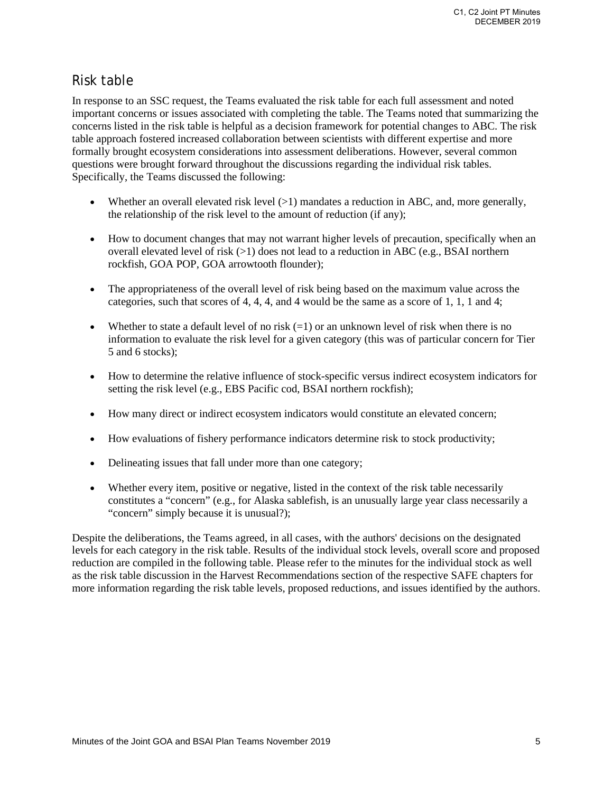### Risk table

In response to an SSC request, the Teams evaluated the risk table for each full assessment and noted important concerns or issues associated with completing the table. The Teams noted that summarizing the concerns listed in the risk table is helpful as a decision framework for potential changes to ABC. The risk table approach fostered increased collaboration between scientists with different expertise and more formally brought ecosystem considerations into assessment deliberations. However, several common questions were brought forward throughout the discussions regarding the individual risk tables. Specifically, the Teams discussed the following:

- Whether an overall elevated risk level  $(>1)$  mandates a reduction in ABC, and, more generally, the relationship of the risk level to the amount of reduction (if any);
- How to document changes that may not warrant higher levels of precaution, specifically when an overall elevated level of risk  $(>1)$  does not lead to a reduction in ABC (e.g., BSAI northern rockfish, GOA POP, GOA arrowtooth flounder);
- The appropriateness of the overall level of risk being based on the maximum value across the categories, such that scores of 4, 4, 4, and 4 would be the same as a score of 1, 1, 1 and 4;
- Whether to state a default level of no risk  $(=1)$  or an unknown level of risk when there is no information to evaluate the risk level for a given category (this was of particular concern for Tier 5 and 6 stocks);
- How to determine the relative influence of stock-specific versus indirect ecosystem indicators for setting the risk level (e.g., EBS Pacific cod, BSAI northern rockfish);
- How many direct or indirect ecosystem indicators would constitute an elevated concern;
- How evaluations of fishery performance indicators determine risk to stock productivity;
- Delineating issues that fall under more than one category;
- Whether every item, positive or negative, listed in the context of the risk table necessarily constitutes a "concern" (e.g., for Alaska sablefish, is an unusually large year class necessarily a "concern" simply because it is unusual?);

Despite the deliberations, the Teams agreed, in all cases, with the authors' decisions on the designated levels for each category in the risk table. Results of the individual stock levels, overall score and proposed reduction are compiled in the following table. Please refer to the minutes for the individual stock as well as the risk table discussion in the Harvest Recommendations section of the respective SAFE chapters for more information regarding the risk table levels, proposed reductions, and issues identified by the authors.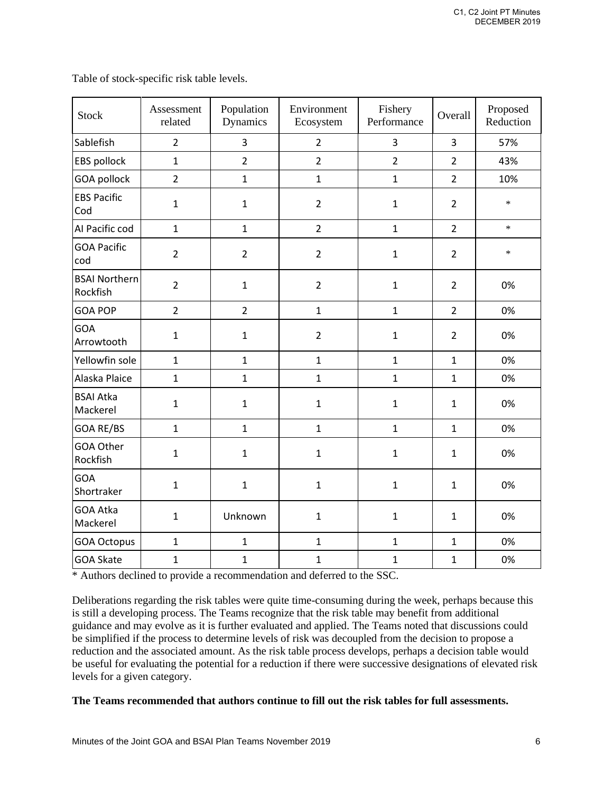| <b>Stock</b>                     | Assessment<br>related | Population<br>Dynamics | Environment<br>Ecosystem | Fishery<br>Performance | Overall        | Proposed<br>Reduction |
|----------------------------------|-----------------------|------------------------|--------------------------|------------------------|----------------|-----------------------|
| Sablefish                        | $\overline{2}$        | 3                      | $\overline{2}$           | 3                      | 3              | 57%                   |
| EBS pollock                      | $\mathbf{1}$          | $\overline{2}$         | $\overline{2}$           | $\overline{2}$         | $\overline{2}$ | 43%                   |
| GOA pollock                      | $\overline{2}$        | $\mathbf{1}$           | $\mathbf{1}$             | $\mathbf{1}$           | $\overline{2}$ | 10%                   |
| <b>EBS Pacific</b><br>Cod        | $\mathbf{1}$          | $\mathbf{1}$           | $\overline{2}$           | $\mathbf{1}$           | $\overline{2}$ | $\ast$                |
| Al Pacific cod                   | $\mathbf{1}$          | $\mathbf{1}$           | $\overline{2}$           | $\mathbf{1}$           | $\overline{2}$ | $\ast$                |
| <b>GOA Pacific</b><br>cod        | $\overline{2}$        | $\overline{2}$         | $\overline{2}$           | $\mathbf{1}$           | $\overline{2}$ | $\ast$                |
| <b>BSAI Northern</b><br>Rockfish | $\overline{2}$        | $\mathbf{1}$           | $\overline{2}$           | $\mathbf{1}$           | $\overline{2}$ | 0%                    |
| <b>GOA POP</b>                   | $\overline{2}$        | $\overline{2}$         | $\mathbf{1}$             | $\mathbf{1}$           | $\overline{2}$ | 0%                    |
| GOA<br>Arrowtooth                | $\mathbf 1$           | $\mathbf 1$            | $\overline{2}$           | $\mathbf 1$            | $\overline{2}$ | 0%                    |
| Yellowfin sole                   | $\mathbf{1}$          | $\mathbf{1}$           | $\mathbf{1}$             | $\mathbf{1}$           | $\mathbf{1}$   | 0%                    |
| Alaska Plaice                    | $\mathbf{1}$          | $\mathbf{1}$           | $\mathbf{1}$             | $\mathbf{1}$           | $\mathbf{1}$   | 0%                    |
| <b>BSAI Atka</b><br>Mackerel     | $\mathbf{1}$          | $\mathbf{1}$           | $\mathbf{1}$             | $\mathbf{1}$           | $\mathbf{1}$   | 0%                    |
| GOA RE/BS                        | $\mathbf{1}$          | $\mathbf{1}$           | $\mathbf{1}$             | $\mathbf{1}$           | $\mathbf{1}$   | 0%                    |
| GOA Other<br>Rockfish            | $\mathbf{1}$          | $\mathbf{1}$           | $\mathbf{1}$             | $\mathbf{1}$           | $\mathbf{1}$   | 0%                    |
| <b>GOA</b><br>Shortraker         | $\mathbf{1}$          | $\mathbf{1}$           | $\mathbf 1$              | $\mathbf{1}$           | $\mathbf{1}$   | 0%                    |
| GOA Atka<br>Mackerel             | $\mathbf{1}$          | Unknown                | $\mathbf{1}$             | $\mathbf{1}$           | $\mathbf{1}$   | 0%                    |
| <b>GOA Octopus</b>               | $\mathbf 1$           | $\mathbf{1}$           | $\mathbf{1}$             | $\mathbf{1}$           | $\mathbf{1}$   | 0%                    |
| <b>GOA Skate</b>                 | $\mathbf{1}$          | $\mathbf 1$            | $\mathbf{1}$             | $\mathbf 1$            | $\mathbf{1}$   | 0%                    |

Table of stock-specific risk table levels.

\* Authors declined to provide a recommendation and deferred to the SSC.

Deliberations regarding the risk tables were quite time-consuming during the week, perhaps because this is still a developing process. The Teams recognize that the risk table may benefit from additional guidance and may evolve as it is further evaluated and applied. The Teams noted that discussions could be simplified if the process to determine levels of risk was decoupled from the decision to propose a reduction and the associated amount. As the risk table process develops, perhaps a decision table would be useful for evaluating the potential for a reduction if there were successive designations of elevated risk levels for a given category.

#### **The Teams recommended that authors continue to fill out the risk tables for full assessments.**